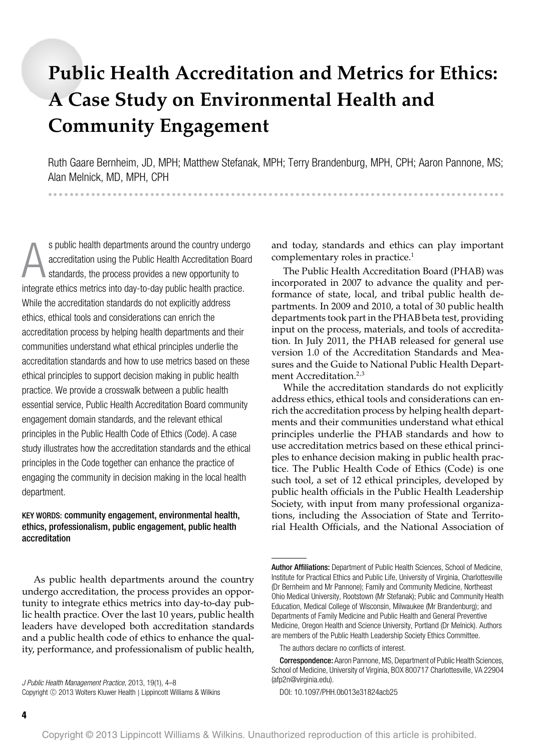# **Public Health Accreditation and Metrics for Ethics: A Case Study on Environmental Health and Community Engagement**

Ruth Gaare Bernheim, JD, MPH; Matthew Stefanak, MPH; Terry Brandenburg, MPH, CPH; Aaron Pannone, MS; Alan Melnick, MD, MPH, CPH

A s public health departments around the country undergo accreditation using the Public Health Accreditation Board standards, the process provides a new opportunity to integrate ethics metrics into day-to-day public health practice. While the accreditation standards do not explicitly address ethics, ethical tools and considerations can enrich the accreditation process by helping health departments and their communities understand what ethical principles underlie the accreditation standards and how to use metrics based on these ethical principles to support decision making in public health practice. We provide a crosswalk between a public health essential service, Public Health Accreditation Board community engagement domain standards, and the relevant ethical principles in the Public Health Code of Ethics (Code). A case study illustrates how the accreditation standards and the ethical principles in the Code together can enhance the practice of engaging the community in decision making in the local health department.

-----------------------------

### KEY WORDS: community engagement, environmental health, ethics, professionalism, public engagement, public health accreditation

As public health departments around the country undergo accreditation, the process provides an opportunity to integrate ethics metrics into day-to-day public health practice. Over the last 10 years, public health leaders have developed both accreditation standards and a public health code of ethics to enhance the quality, performance, and professionalism of public health, and today, standards and ethics can play important complementary roles in practice.<sup>1</sup>

--------------------------------------------------------

The Public Health Accreditation Board (PHAB) was incorporated in 2007 to advance the quality and performance of state, local, and tribal public health departments. In 2009 and 2010, a total of 30 public health departments took part in the PHAB beta test, providing input on the process, materials, and tools of accreditation. In July 2011, the PHAB released for general use version 1.0 of the Accreditation Standards and Measures and the Guide to National Public Health Department Accreditation.<sup>2,3</sup>

While the accreditation standards do not explicitly address ethics, ethical tools and considerations can enrich the accreditation process by helping health departments and their communities understand what ethical principles underlie the PHAB standards and how to use accreditation metrics based on these ethical principles to enhance decision making in public health practice. The Public Health Code of Ethics (Code) is one such tool, a set of 12 ethical principles, developed by public health officials in the Public Health Leadership Society, with input from many professional organizations, including the Association of State and Territorial Health Officials, and the National Association of

The authors declare no conflicts of interest.

DOI: 10.1097/PHH.0b013e31824acb25

J Public Health Management Practice, 2013, 19(1), 4–8 Copyright © 2013 Wolters Kluwer Health | Lippincott Williams & Wilkins

Author Affiliations: Department of Public Health Sciences, School of Medicine, Institute for Practical Ethics and Public Life, University of Virginia, Charlottesville (Dr Bernheim and Mr Pannone); Family and Community Medicine, Northeast Ohio Medical University, Rootstown (Mr Stefanak); Public and Community Health Education, Medical College of Wisconsin, Milwaukee (Mr Brandenburg); and Departments of Family Medicine and Public Health and General Preventive Medicine, Oregon Health and Science University, Portland (Dr Melnick). Authors are members of the Public Health Leadership Society Ethics Committee.

Correspondence: Aaron Pannone, MS, Department of Public Health Sciences, School of Medicine, University of Virginia, BOX 800717 Charlottesville, VA 22904 (afp2n@virginia.edu).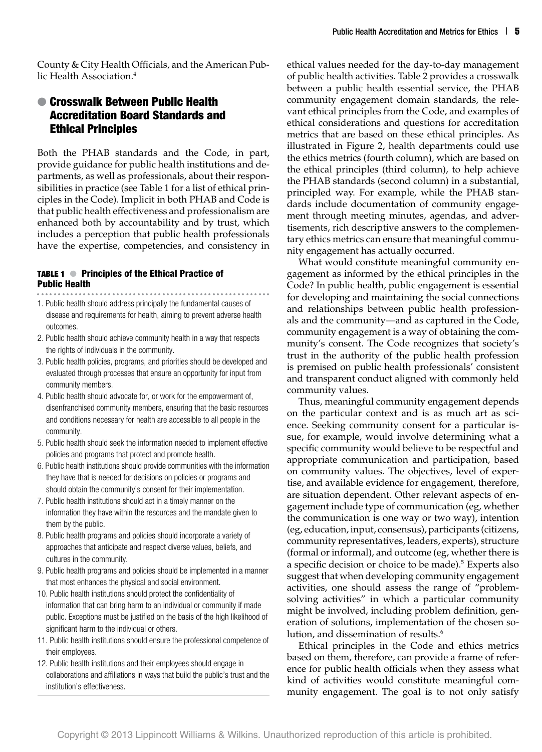County & City Health Officials, and the American Public Health Association.<sup>4</sup>

## ● **Crosswalk Between Public Health Accreditation Board Standards and Ethical Principles**

Both the PHAB standards and the Code, in part, provide guidance for public health institutions and departments, as well as professionals, about their responsibilities in practice (see Table 1 for a list of ethical principles in the Code). Implicit in both PHAB and Code is that public health effectiveness and professionalism are enhanced both by accountability and by trust, which includes a perception that public health professionals have the expertise, competencies, and consistency in

#### **TABLE 1** ● **Principles of the Ethical Practice of Public Health**

- 1. Public health should address principally the fundamental causes of disease and requirements for health, aiming to prevent adverse health outcomes.
- 2. Public health should achieve community health in a way that respects the rights of individuals in the community.
- 3. Public health policies, programs, and priorities should be developed and evaluated through processes that ensure an opportunity for input from community members.
- 4. Public health should advocate for, or work for the empowerment of, disenfranchised community members, ensuring that the basic resources and conditions necessary for health are accessible to all people in the community.
- 5. Public health should seek the information needed to implement effective policies and programs that protect and promote health.
- 6. Public health institutions should provide communities with the information they have that is needed for decisions on policies or programs and should obtain the community's consent for their implementation.
- 7. Public health institutions should act in a timely manner on the information they have within the resources and the mandate given to them by the public.
- 8. Public health programs and policies should incorporate a variety of approaches that anticipate and respect diverse values, beliefs, and cultures in the community.
- 9. Public health programs and policies should be implemented in a manner that most enhances the physical and social environment.
- 10. Public health institutions should protect the confidentiality of information that can bring harm to an individual or community if made public. Exceptions must be justified on the basis of the high likelihood of significant harm to the individual or others.
- 11. Public health institutions should ensure the professional competence of their employees.
- 12. Public health institutions and their employees should engage in collaborations and affiliations in ways that build the public's trust and the institution's effectiveness.

ethical values needed for the day-to-day management of public health activities. Table 2 provides a crosswalk between a public health essential service, the PHAB community engagement domain standards, the relevant ethical principles from the Code, and examples of ethical considerations and questions for accreditation metrics that are based on these ethical principles. As illustrated in Figure 2, health departments could use the ethics metrics (fourth column), which are based on the ethical principles (third column), to help achieve the PHAB standards (second column) in a substantial, principled way. For example, while the PHAB standards include documentation of community engagement through meeting minutes, agendas, and advertisements, rich descriptive answers to the complementary ethics metrics can ensure that meaningful community engagement has actually occurred.

What would constitute meaningful community engagement as informed by the ethical principles in the Code? In public health, public engagement is essential for developing and maintaining the social connections and relationships between public health professionals and the community—and as captured in the Code, community engagement is a way of obtaining the community's consent. The Code recognizes that society's trust in the authority of the public health profession is premised on public health professionals' consistent and transparent conduct aligned with commonly held community values.

Thus, meaningful community engagement depends on the particular context and is as much art as science. Seeking community consent for a particular issue, for example, would involve determining what a specific community would believe to be respectful and appropriate communication and participation, based on community values. The objectives, level of expertise, and available evidence for engagement, therefore, are situation dependent. Other relevant aspects of engagement include type of communication (eg, whether the communication is one way or two way), intention (eg, education, input, consensus), participants (citizens, community representatives, leaders, experts), structure (formal or informal), and outcome (eg, whether there is a specific decision or choice to be made).<sup>5</sup> Experts also suggest that when developing community engagement activities, one should assess the range of "problemsolving activities" in which a particular community might be involved, including problem definition, generation of solutions, implementation of the chosen solution, and dissemination of results.<sup>6</sup>

Ethical principles in the Code and ethics metrics based on them, therefore, can provide a frame of reference for public health officials when they assess what kind of activities would constitute meaningful community engagement. The goal is to not only satisfy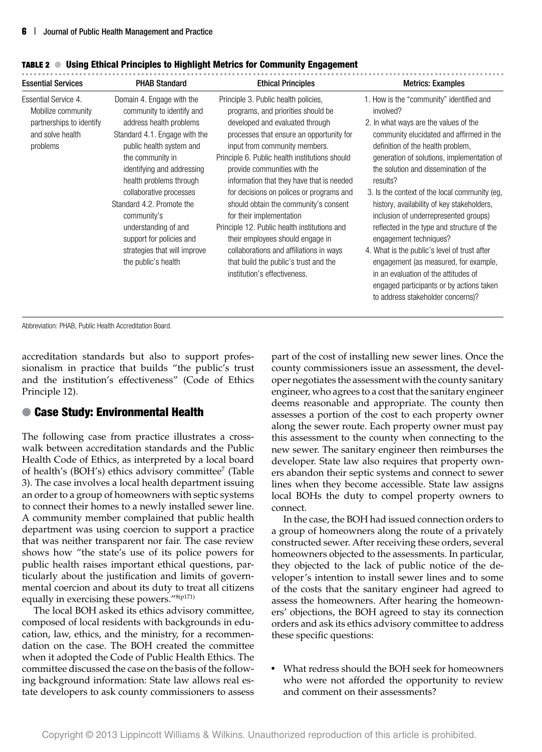| <b>Essential Services</b>                                                                              | <b>PHAB Standard</b>                                                                                                                                                                                                                                                                                                                                                                                          | <b>Ethical Principles</b>                                                                                                                                                                                                                                                                                                                                                                                                                                                                                                                                                                                          | <b>Metrics: Examples</b>                                                                                                                                                                                                                                                                                                                                                                                                                                                                                                                                                                    |
|--------------------------------------------------------------------------------------------------------|---------------------------------------------------------------------------------------------------------------------------------------------------------------------------------------------------------------------------------------------------------------------------------------------------------------------------------------------------------------------------------------------------------------|--------------------------------------------------------------------------------------------------------------------------------------------------------------------------------------------------------------------------------------------------------------------------------------------------------------------------------------------------------------------------------------------------------------------------------------------------------------------------------------------------------------------------------------------------------------------------------------------------------------------|---------------------------------------------------------------------------------------------------------------------------------------------------------------------------------------------------------------------------------------------------------------------------------------------------------------------------------------------------------------------------------------------------------------------------------------------------------------------------------------------------------------------------------------------------------------------------------------------|
| Essential Service 4.<br>Mobilize community<br>partnerships to identify<br>and solve health<br>problems | Domain 4. Engage with the<br>community to identify and<br>address health problems<br>Standard 4.1. Engage with the<br>public health system and<br>the community in<br>identifying and addressing<br>health problems through<br>collaborative processes<br>Standard 4.2. Promote the<br>community's<br>understanding of and<br>support for policies and<br>strategies that will improve<br>the public's health | Principle 3. Public health policies,<br>programs, and priorities should be<br>developed and evaluated through<br>processes that ensure an opportunity for<br>input from community members.<br>Principle 6. Public health institutions should<br>provide communities with the<br>information that they have that is needed<br>for decisions on polices or programs and<br>should obtain the community's consent<br>for their implementation<br>Principle 12. Public health institutions and<br>their employees should engage in<br>collaborations and affiliations in ways<br>that build the public's trust and the | 1. How is the "community" identified and<br>involved?<br>2. In what ways are the values of the<br>community elucidated and affirmed in the<br>definition of the health problem,<br>generation of solutions, implementation of<br>the solution and dissemination of the<br>results?<br>3. Is the context of the local community (eg.<br>history, availability of key stakeholders,<br>inclusion of underrepresented groups)<br>reflected in the type and structure of the<br>engagement techniques?<br>4. What is the public's level of trust after<br>engagement (as measured, for example, |
|                                                                                                        |                                                                                                                                                                                                                                                                                                                                                                                                               | institution's effectiveness.                                                                                                                                                                                                                                                                                                                                                                                                                                                                                                                                                                                       | in an evaluation of the attitudes of<br>engaged participants or by actions taken<br>to address stakeholder concerns)?                                                                                                                                                                                                                                                                                                                                                                                                                                                                       |

**TABLE 2** ● **Using Ethical Principles to Highlight Metrics for Community Engagement**

Abbreviation: PHAB, Public Health Accreditation Board.

accreditation standards but also to support professionalism in practice that builds "the public's trust and the institution's effectiveness" (Code of Ethics Principle 12).

#### ● **Case Study: Environmental Health**

The following case from practice illustrates a crosswalk between accreditation standards and the Public Health Code of Ethics, as interpreted by a local board of health's (BOH's) ethics advisory committee<sup>7</sup> (Table 3). The case involves a local health department issuing an order to a group of homeowners with septic systems to connect their homes to a newly installed sewer line. A community member complained that public health department was using coercion to support a practice that was neither transparent nor fair. The case review shows how "the state's use of its police powers for public health raises important ethical questions, particularly about the justification and limits of governmental coercion and about its duty to treat all citizens equally in exercising these powers."8(p171)

The local BOH asked its ethics advisory committee, composed of local residents with backgrounds in education, law, ethics, and the ministry, for a recommendation on the case. The BOH created the committee when it adopted the Code of Public Health Ethics. The committee discussed the case on the basis of the following background information: State law allows real estate developers to ask county commissioners to assess part of the cost of installing new sewer lines. Once the county commissioners issue an assessment, the developer negotiates the assessment with the county sanitary engineer, who agrees to a cost that the sanitary engineer deems reasonable and appropriate. The county then assesses a portion of the cost to each property owner along the sewer route. Each property owner must pay this assessment to the county when connecting to the new sewer. The sanitary engineer then reimburses the developer. State law also requires that property owners abandon their septic systems and connect to sewer lines when they become accessible. State law assigns local BOHs the duty to compel property owners to connect.

In the case, the BOH had issued connection orders to a group of homeowners along the route of a privately constructed sewer. After receiving these orders, several homeowners objected to the assessments. In particular, they objected to the lack of public notice of the developer's intention to install sewer lines and to some of the costs that the sanitary engineer had agreed to assess the homeowners. After hearing the homeowners' objections, the BOH agreed to stay its connection orders and ask its ethics advisory committee to address these specific questions:

- What redress should the BOH seek for homeowners who were not afforded the opportunity to review and comment on their assessments?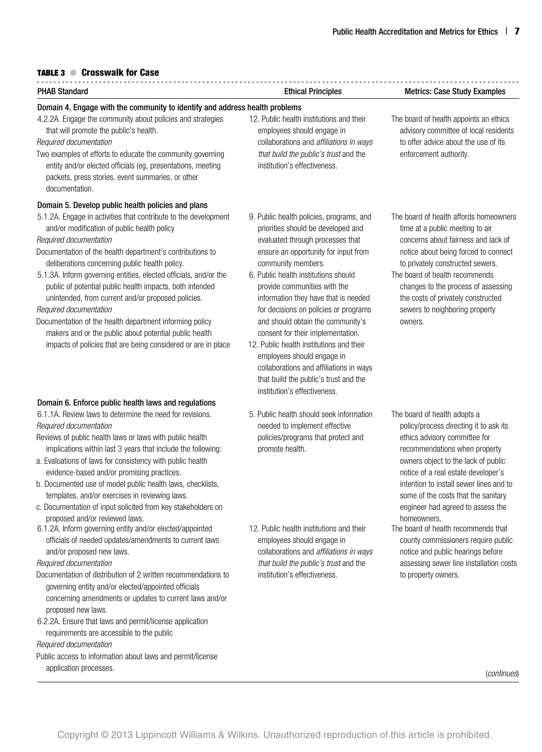## **TABLE 3** ● **Crosswalk for Case**

| <b>PHAB Standard</b>                                                                                                                                                                                                                                                                                                                                                                                                                                                                                                                                                                                                                                                                                                                                                                                                                                                                                                                                                                                                                                                                                                                                                                      | <b>Ethical Principles</b>                                                                                                                                                                                                                                                                                                                                                                                                                                                                                                                                                                                         | <b>Metrics: Case Study Examples</b>                                                                                                                                                                                                                                                                                                                                                                                                                                                                                                               |
|-------------------------------------------------------------------------------------------------------------------------------------------------------------------------------------------------------------------------------------------------------------------------------------------------------------------------------------------------------------------------------------------------------------------------------------------------------------------------------------------------------------------------------------------------------------------------------------------------------------------------------------------------------------------------------------------------------------------------------------------------------------------------------------------------------------------------------------------------------------------------------------------------------------------------------------------------------------------------------------------------------------------------------------------------------------------------------------------------------------------------------------------------------------------------------------------|-------------------------------------------------------------------------------------------------------------------------------------------------------------------------------------------------------------------------------------------------------------------------------------------------------------------------------------------------------------------------------------------------------------------------------------------------------------------------------------------------------------------------------------------------------------------------------------------------------------------|---------------------------------------------------------------------------------------------------------------------------------------------------------------------------------------------------------------------------------------------------------------------------------------------------------------------------------------------------------------------------------------------------------------------------------------------------------------------------------------------------------------------------------------------------|
| Domain 4. Engage with the community to identify and address health problems<br>4.2.2A. Engage the community about policies and strategies<br>that will promote the public's health.<br>Required documentation<br>Two examples of efforts to educate the community governing<br>entity and/or elected officials (eg, presentations, meeting<br>packets, press stories, event summaries, or other<br>documentation.                                                                                                                                                                                                                                                                                                                                                                                                                                                                                                                                                                                                                                                                                                                                                                         | 12. Public health institutions and their<br>employees should engage in<br>collaborations and affiliations in ways<br>that build the public's trust and the<br>institution's effectiveness.                                                                                                                                                                                                                                                                                                                                                                                                                        | The board of health appoints an ethics<br>advisory committee of local residents<br>to offer advice about the use of its<br>enforcement authority.                                                                                                                                                                                                                                                                                                                                                                                                 |
| Domain 5. Develop public health policies and plans<br>5.1.2A. Engage in activities that contribute to the development<br>and/or modification of public health policy<br>Required documentation<br>Documentation of the health department's contributions to<br>deliberations concerning public health policy.<br>5.1.3A. Inform governing entities, elected officials, and/or the<br>public of potential public health impacts, both intended<br>unintended, from current and/or proposed policies.<br>Required documentation<br>Documentation of the health department informing policy<br>makers and or the public about potential public health<br>impacts of policies that are being considered or are in place                                                                                                                                                                                                                                                                                                                                                                                                                                                                       | 9. Public health policies, programs, and<br>priorities should be developed and<br>evaluated through processes that<br>ensure an opportunity for input from<br>community members.<br>6. Public health institutions should<br>provide communities with the<br>information they have that is needed<br>for decisions on policies or programs<br>and should obtain the community's<br>consent for their implementation.<br>12. Public health institutions and their<br>employees should engage in<br>collaborations and affiliations in ways<br>that build the public's trust and the<br>institution's effectiveness. | The board of health affords homeowners<br>time at a public meeting to air<br>concerns about fairness and lack of<br>notice about being forced to connect<br>to privately constructed sewers.<br>The board of health recommends<br>changes to the process of assessing<br>the costs of privately constructed<br>sewers to neighboring property<br>owners.                                                                                                                                                                                          |
| Domain 6. Enforce public health laws and regulations<br>6.1.1A. Review laws to determine the need for revisions.<br>Required documentation<br>Reviews of public health laws or laws with public health<br>implications within last 3 years that include the following:<br>a. Evaluations of laws for consistency with public health<br>evidence-based and/or promising practices.<br>b. Documented use of model public health laws, checklists,<br>templates, and/or exercises in reviewing laws.<br>c. Documentation of input solicited from key stakeholders on<br>proposed and/or reviewed laws.<br>6.1.2A. Inform governing entity and/or elected/appointed<br>officials of needed updates/amendments to current laws<br>and/or proposed new laws.<br>Required documentation<br>Documentation of distribution of 2 written recommendations to<br>governing entity and/or elected/appointed officials<br>concerning amendments or updates to current laws and/or<br>proposed new laws.<br>6.2.2A. Ensure that laws and permit/license application<br>requirements are accessible to the public<br>Required documentation<br>Public access to information about laws and permit/license | 5. Public health should seek information<br>needed to implement effective<br>policies/programs that protect and<br>promote health.<br>12. Public health institutions and their<br>employees should engage in<br>collaborations and affiliations in ways<br>that build the public's trust and the<br>institution's effectiveness.                                                                                                                                                                                                                                                                                  | The board of health adopts a<br>policy/process directing it to ask its<br>ethics advisory committee for<br>recommendations when property<br>owners object to the lack of public<br>notice of a real estate developer's<br>intention to install sewer lines and to<br>some of the costs that the sanitary<br>engineer had agreed to assess the<br>homeowners.<br>The board of health recommends that<br>county commissioners require public<br>notice and public hearings before<br>assessing sewer line installation costs<br>to property owners. |
| application processes.                                                                                                                                                                                                                                                                                                                                                                                                                                                                                                                                                                                                                                                                                                                                                                                                                                                                                                                                                                                                                                                                                                                                                                    |                                                                                                                                                                                                                                                                                                                                                                                                                                                                                                                                                                                                                   |                                                                                                                                                                                                                                                                                                                                                                                                                                                                                                                                                   |